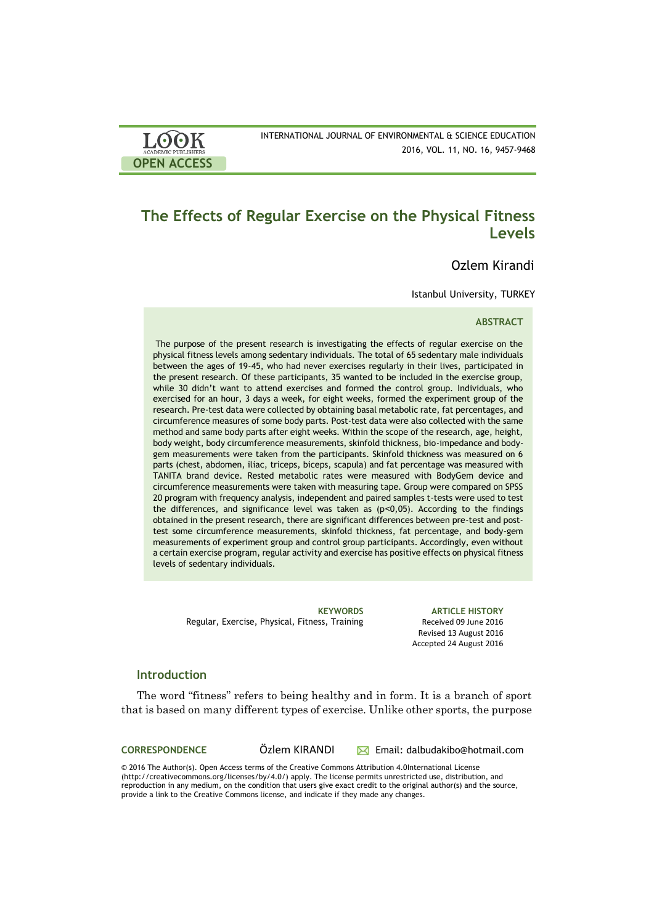| LOOK                       | INTERNATIONAL JOURNAL OF ENVIRONMENTAL & SCIENCE EDUCATION |
|----------------------------|------------------------------------------------------------|
| <b>ACADEMIC PUBLISHERS</b> | 2016, VOL. 11, NO. 16, 9457-9468                           |
| <b>OPEN ACCESS</b>         |                                                            |

# **The Effects of Regular Exercise on the Physical Fitness Levels**

# Ozlem Kirandi

Istanbul University, TURKEY

### **ABSTRACT**

The purpose of the present research is investigating the effects of regular exercise on the physical fitness levels among sedentary individuals. The total of 65 sedentary male individuals between the ages of 19-45, who had never exercises regularly in their lives, participated in the present research. Of these participants, 35 wanted to be included in the exercise group, while 30 didn't want to attend exercises and formed the control group. Individuals, who exercised for an hour, 3 days a week, for eight weeks, formed the experiment group of the research. Pre-test data were collected by obtaining basal metabolic rate, fat percentages, and circumference measures of some body parts. Post-test data were also collected with the same method and same body parts after eight weeks. Within the scope of the research, age, height, body weight, body circumference measurements, skinfold thickness, bio-impedance and bodygem measurements were taken from the participants. Skinfold thickness was measured on 6 parts (chest, abdomen, iliac, triceps, biceps, scapula) and fat percentage was measured with TANITA brand device. Rested metabolic rates were measured with BodyGem device and circumference measurements were taken with measuring tape. Group were compared on SPSS 20 program with frequency analysis, independent and paired samples t-tests were used to test the differences, and significance level was taken as (p˂0,05). According to the findings obtained in the present research, there are significant differences between pre-test and posttest some circumference measurements, skinfold thickness, fat percentage, and body-gem measurements of experiment group and control group participants. Accordingly, even without a certain exercise program, regular activity and exercise has positive effects on physical fitness levels of sedentary individuals.

Regular, Exercise, Physical, Fitness, Training Received 09 June 2016

**KEYWORDS ARTICLE HISTORY** Revised 13 August 2016 Accepted 24 August 2016

### **Introduction**

The word "fitness" refers to being healthy and in form. It is a branch of sport that is based on many different types of exercise. Unlike other sports, the purpose

**CORRESPONDENCE** Özlem KIRANDI Email: dalbudakibo@hotmail.com

© 2016 The Author(s). Open Access terms of the Creative Commons Attribution 4.0International License (http://creativecommons.org/licenses/by/4.0/) apply. The license permits unrestricted use, distribution, and reproduction in any medium, on the condition that users give exact credit to the original author(s) and the source, provide a link to the Creative Commons license, and indicate if they made any changes.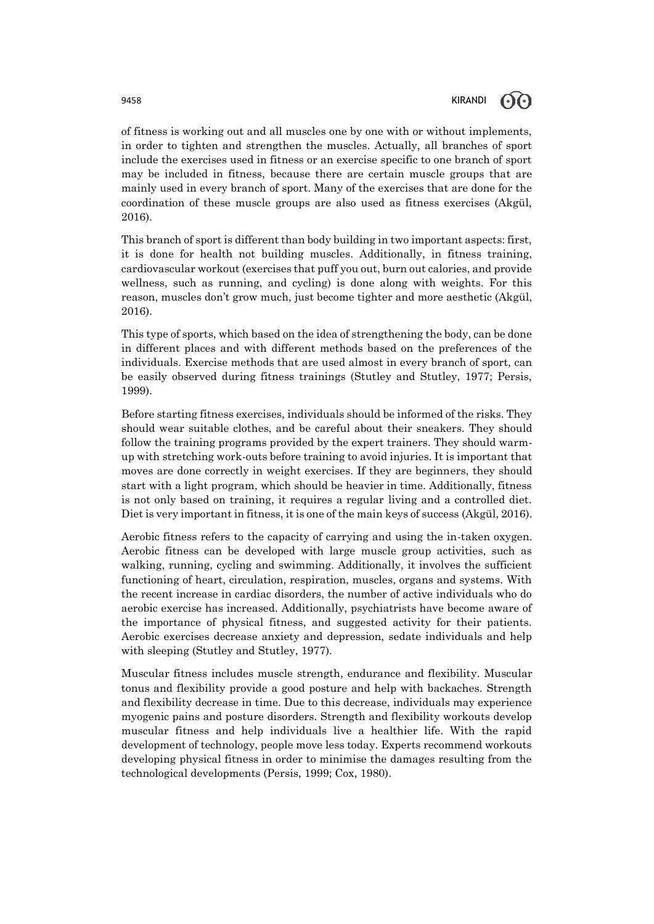of fitness is working out and all muscles one by one with or without implements, in order to tighten and strengthen the muscles. Actually, all branches of sport include the exercises used in fitness or an exercise specific to one branch of sport may be included in fitness, because there are certain muscle groups that are mainly used in every branch of sport. Many of the exercises that are done for the coordination of these muscle groups are also used as fitness exercises (Akgül, 2016).

This branch of sport is different than body building in two important aspects: first, it is done for health not building muscles. Additionally, in fitness training, cardiovascular workout (exercises that puff you out, burn out calories, and provide wellness, such as running, and cycling) is done along with weights. For this reason, muscles don't grow much, just become tighter and more aesthetic (Akgül, 2016).

This type of sports, which based on the idea of strengthening the body, can be done in different places and with different methods based on the preferences of the individuals. Exercise methods that are used almost in every branch of sport, can be easily observed during fitness trainings (Stutley and Stutley, 1977; Persis, 1999).

Before starting fitness exercises, individuals should be informed of the risks. They should wear suitable clothes, and be careful about their sneakers. They should follow the training programs provided by the expert trainers. They should warmup with stretching work-outs before training to avoid injuries. It is important that moves are done correctly in weight exercises. If they are beginners, they should start with a light program, which should be heavier in time. Additionally, fitness is not only based on training, it requires a regular living and a controlled diet. Diet is very important in fitness, it is one of the main keys of success (Akgül, 2016).

Aerobic fitness refers to the capacity of carrying and using the in-taken oxygen. Aerobic fitness can be developed with large muscle group activities, such as walking, running, cycling and swimming. Additionally, it involves the sufficient functioning of heart, circulation, respiration, muscles, organs and systems. With the recent increase in cardiac disorders, the number of active individuals who do aerobic exercise has increased. Additionally, psychiatrists have become aware of the importance of physical fitness, and suggested activity for their patients. Aerobic exercises decrease anxiety and depression, sedate individuals and help with sleeping (Stutley and Stutley, 1977).

Muscular fitness includes muscle strength, endurance and flexibility. Muscular tonus and flexibility provide a good posture and help with backaches. Strength and flexibility decrease in time. Due to this decrease, individuals may experience myogenic pains and posture disorders. Strength and flexibility workouts develop muscular fitness and help individuals live a healthier life. With the rapid development of technology, people move less today. Experts recommend workouts developing physical fitness in order to minimise the damages resulting from the technological developments (Persis, 1999; Cox, 1980).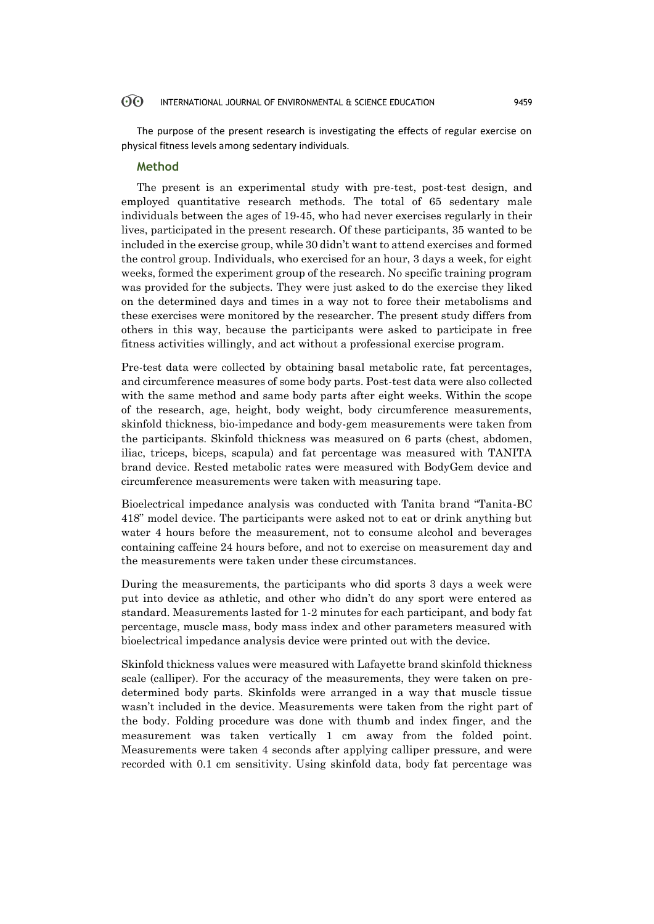The purpose of the present research is investigating the effects of regular exercise on physical fitness levels among sedentary individuals.

### **Method**

The present is an experimental study with pre-test, post-test design, and employed quantitative research methods. The total of 65 sedentary male individuals between the ages of 19-45, who had never exercises regularly in their lives, participated in the present research. Of these participants, 35 wanted to be included in the exercise group, while 30 didn't want to attend exercises and formed the control group. Individuals, who exercised for an hour, 3 days a week, for eight weeks, formed the experiment group of the research. No specific training program was provided for the subjects. They were just asked to do the exercise they liked on the determined days and times in a way not to force their metabolisms and these exercises were monitored by the researcher. The present study differs from others in this way, because the participants were asked to participate in free fitness activities willingly, and act without a professional exercise program.

Pre-test data were collected by obtaining basal metabolic rate, fat percentages, and circumference measures of some body parts. Post-test data were also collected with the same method and same body parts after eight weeks. Within the scope of the research, age, height, body weight, body circumference measurements, skinfold thickness, bio-impedance and body-gem measurements were taken from the participants. Skinfold thickness was measured on 6 parts (chest, abdomen, iliac, triceps, biceps, scapula) and fat percentage was measured with TANITA brand device. Rested metabolic rates were measured with BodyGem device and circumference measurements were taken with measuring tape.

Bioelectrical impedance analysis was conducted with Tanita brand "Tanita-BC 418" model device. The participants were asked not to eat or drink anything but water 4 hours before the measurement, not to consume alcohol and beverages containing caffeine 24 hours before, and not to exercise on measurement day and the measurements were taken under these circumstances.

During the measurements, the participants who did sports 3 days a week were put into device as athletic, and other who didn't do any sport were entered as standard. Measurements lasted for 1-2 minutes for each participant, and body fat percentage, muscle mass, body mass index and other parameters measured with bioelectrical impedance analysis device were printed out with the device.

Skinfold thickness values were measured with Lafayette brand skinfold thickness scale (calliper). For the accuracy of the measurements, they were taken on predetermined body parts. Skinfolds were arranged in a way that muscle tissue wasn't included in the device. Measurements were taken from the right part of the body. Folding procedure was done with thumb and index finger, and the measurement was taken vertically 1 cm away from the folded point. Measurements were taken 4 seconds after applying calliper pressure, and were recorded with 0.1 cm sensitivity. Using skinfold data, body fat percentage was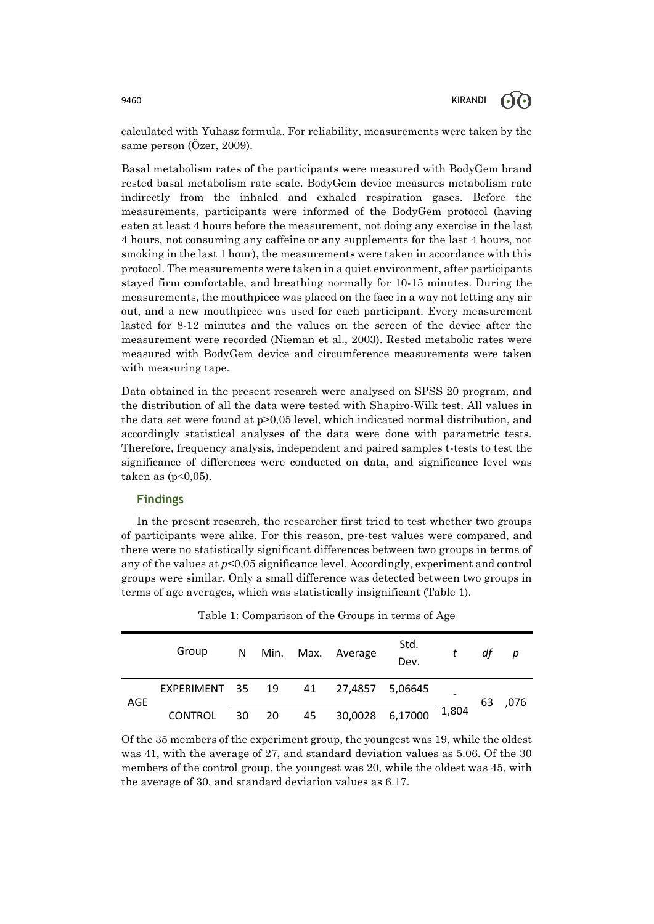

calculated with Yuhasz formula. For reliability, measurements were taken by the same person (Özer, 2009).

Basal metabolism rates of the participants were measured with BodyGem brand rested basal metabolism rate scale. BodyGem device measures metabolism rate indirectly from the inhaled and exhaled respiration gases. Before the measurements, participants were informed of the BodyGem protocol (having eaten at least 4 hours before the measurement, not doing any exercise in the last 4 hours, not consuming any caffeine or any supplements for the last 4 hours, not smoking in the last 1 hour), the measurements were taken in accordance with this protocol. The measurements were taken in a quiet environment, after participants stayed firm comfortable, and breathing normally for 10-15 minutes. During the measurements, the mouthpiece was placed on the face in a way not letting any air out, and a new mouthpiece was used for each participant. Every measurement lasted for 8-12 minutes and the values on the screen of the device after the measurement were recorded (Nieman et al., 2003). Rested metabolic rates were measured with BodyGem device and circumference measurements were taken with measuring tape.

Data obtained in the present research were analysed on SPSS 20 program, and the distribution of all the data were tested with Shapiro-Wilk test. All values in the data set were found at p>0,05 level, which indicated normal distribution, and accordingly statistical analyses of the data were done with parametric tests. Therefore, frequency analysis, independent and paired samples t-tests to test the significance of differences were conducted on data, and significance level was taken as  $(p<0.05)$ .

### **Findings**

In the present research, the researcher first tried to test whether two groups of participants were alike. For this reason, pre-test values were compared, and there were no statistically significant differences between two groups in terms of any of the values at *p*<0,05 significance level. Accordingly, experiment and control groups were similar. Only a small difference was detected between two groups in terms of age averages, which was statistically insignificant (Table 1).

|     | Group                               | N |       |    | Min. Max. Average | Std.<br>Dev. |       | df | р    |
|-----|-------------------------------------|---|-------|----|-------------------|--------------|-------|----|------|
| AGE | EXPERIMENT 35 19 41 27,4857 5,06645 |   |       |    |                   |              |       | 63 | ,076 |
|     | <b>CONTROL</b>                      |   | 30 20 | 45 | 30,0028 6,17000   |              | 1,804 |    |      |

Table 1: Comparison of the Groups in terms of Age

Of the 35 members of the experiment group, the youngest was 19, while the oldest was 41, with the average of 27, and standard deviation values as 5.06. Of the 30 members of the control group, the youngest was 20, while the oldest was 45, with the average of 30, and standard deviation values as 6.17.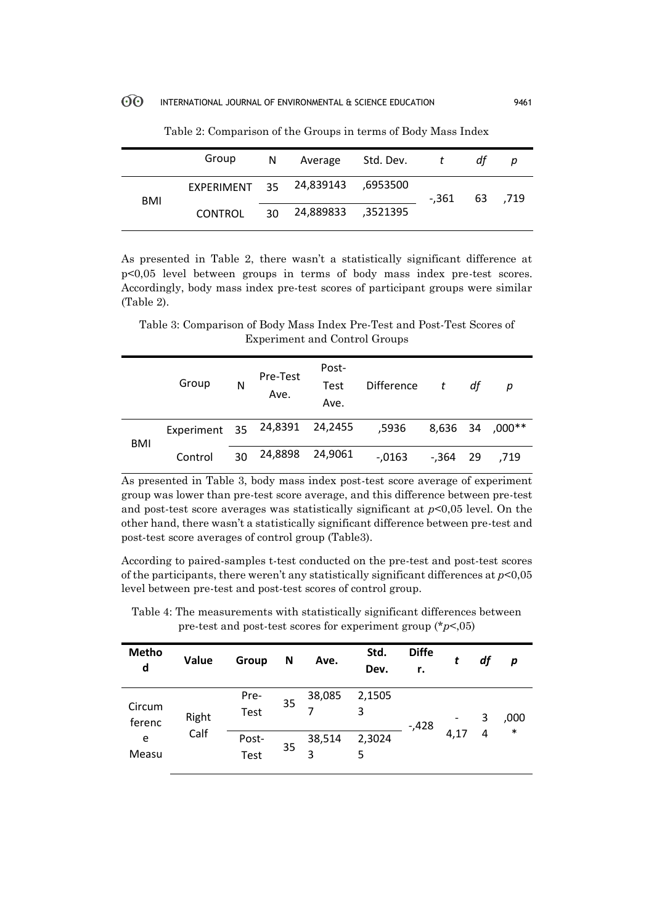|     | Group   |                                  | N Average Std. Dev. t |                 | dt | p |
|-----|---------|----------------------------------|-----------------------|-----------------|----|---|
| BMI |         | EXPERIMENT 35 24,839143 ,6953500 |                       | $-.361$ 63 .719 |    |   |
|     | CONTROL |                                  | 30 24,889833 ,3521395 |                 |    |   |

Table 2: Comparison of the Groups in terms of Body Mass Index

As presented in Table 2, there wasn't a statistically significant difference at p<0,05 level between groups in terms of body mass index pre-test scores. Accordingly, body mass index pre-test scores of participant groups were similar (Table 2).

Table 3: Comparison of Body Mass Index Pre-Test and Post-Test Scores of Experiment and Control Groups

|            | Group                         | N  | Pre-Test<br>Ave. | Post-<br>Test<br>Ave. | Difference | t           | df | р               |
|------------|-------------------------------|----|------------------|-----------------------|------------|-------------|----|-----------------|
| <b>BMI</b> | Experiment 35 24,8391 24,2455 |    |                  |                       | 5936,      |             |    | 8,636 34 ,000** |
|            | Control                       | 30 | 24,8898          | 24,9061               | $-0.0163$  | $-0.364$ 29 |    | .719            |

As presented in Table 3, body mass index post-test score average of experiment group was lower than pre-test score average, and this difference between pre-test and post-test score averages was statistically significant at *p*<0,05 level. On the other hand, there wasn't a statistically significant difference between pre-test and post-test score averages of control group (Table3).

According to paired-samples t-test conducted on the pre-test and post-test scores of the participants, there weren't any statistically significant differences at *p*<0,05 level between pre-test and post-test scores of control group.

| <b>Metho</b><br>d | Value | Group         | N  | Ave.        | Std.<br>Dev. | <b>Diffe</b><br>r. | t    | df | p      |
|-------------------|-------|---------------|----|-------------|--------------|--------------------|------|----|--------|
| Circum<br>ferenc  | Right | Pre-<br>Test  | 35 | 38,085      | 2,1505<br>3  | $-0.428$           |      | 3  | ,000   |
| e<br>Measu        | Calf  | Post-<br>Test | 35 | 38,514<br>3 | 2,3024<br>5  |                    | 4,17 | 4  | $\ast$ |

Table 4: The measurements with statistically significant differences between pre-test and post-test scores for experiment group (\**p*<,05)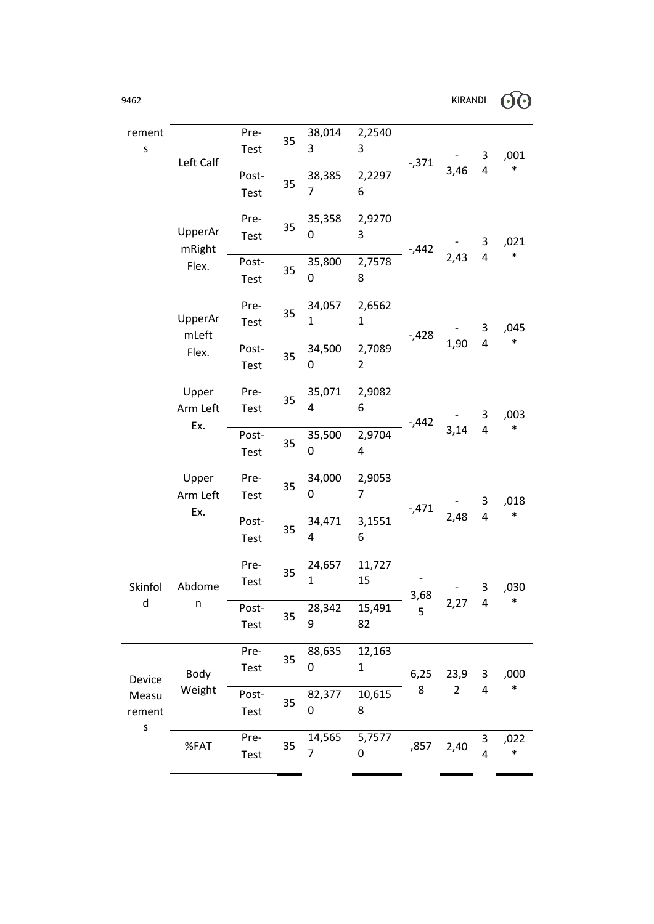| rement       |                   | Pre-  |    | 38,014         | 2,2540                   |          |                |                         |        |
|--------------|-------------------|-------|----|----------------|--------------------------|----------|----------------|-------------------------|--------|
| S            |                   | Test  | 35 | 3              | 3                        |          |                | 3                       | ,001   |
|              | Left Calf         |       |    |                |                          | $-0.371$ | 3,46           | 4                       | $\ast$ |
|              |                   | Post- | 35 | 38,385         | 2,2297                   |          |                |                         |        |
|              |                   | Test  |    | $\overline{7}$ | 6                        |          |                |                         |        |
|              |                   | Pre-  | 35 | 35,358         | 2,9270                   |          |                |                         |        |
|              | UpperAr<br>mRight | Test  |    | 0              | 3                        | $-442$   |                | 3                       | ,021   |
|              | Flex.             | Post- |    | 35,800         | 2,7578                   |          | 2,43           | 4                       | $\ast$ |
|              |                   | Test  | 35 | 0              | 8                        |          |                |                         |        |
|              |                   | Pre-  | 35 | 34,057         | 2,6562                   |          |                |                         |        |
|              | UpperAr           | Test  |    | $\mathbf{1}$   | 1                        |          |                | 3                       | ,045   |
|              | mLeft             |       |    |                |                          | $-428$   | 1,90           | 4                       | $\ast$ |
|              | Flex.             | Post- | 35 | 34,500<br>0    | 2,7089<br>$\overline{2}$ |          |                |                         |        |
|              |                   | Test  |    |                |                          |          |                |                         |        |
|              | Upper             | Pre-  | 35 | 35,071         | 2,9082                   |          |                |                         |        |
|              | Arm Left          | Test  |    | 4              | 6                        |          |                | 3                       | ,003   |
|              | Ex.               | Post- |    | 35,500         | 2,9704                   | $-442$   | 3,14           | $\overline{\mathbf{4}}$ | $\ast$ |
|              |                   | Test  | 35 | 0              | 4                        |          |                |                         |        |
|              |                   |       |    |                |                          |          |                |                         |        |
|              | Upper             | Pre-  | 35 | 34,000         | 2,9053                   |          |                |                         |        |
|              | Arm Left          | Test  |    | 0              | $\overline{7}$           |          |                | 3                       | ,018   |
|              | Ex.               | Post- |    | 34,471         | 3,1551                   | $-0.471$ | 2,48           | $\overline{\mathbf{4}}$ | $\ast$ |
|              |                   | Test  | 35 | 4              | 6                        |          |                |                         |        |
|              |                   |       |    |                |                          |          |                |                         |        |
|              |                   | Pre-  | 35 | 24,657         | 11,727                   |          |                |                         |        |
| Skinfol      | Abdome            | Test  |    | $\mathbf{1}$   | 15                       |          |                | 3                       | ,030   |
| $\mathsf{d}$ | n                 | Post- |    | 28,342         | 15,491                   | 3,68     | 2,27           | 4                       | $\ast$ |
|              |                   |       | 35 | 9              | 82                       | 5        |                |                         |        |
|              |                   | Test  |    |                |                          |          |                |                         |        |
|              |                   | Pre-  | 35 | 88,635         | 12,163                   |          |                |                         |        |
|              | Body              | Test  |    | 0              | $\mathbf{1}$             | 6,25     | 23,9           | 3                       | ,000   |
| Device       | Weight            |       |    |                |                          | 8        | $\overline{2}$ | 4                       | $\ast$ |
| Measu        |                   | Post- | 35 | 82,377<br>0    | 10,615<br>8              |          |                |                         |        |
| rement<br>S  |                   | Test  |    |                |                          |          |                |                         |        |
|              |                   | Pre-  |    | 14,565         | 5,7577                   |          |                | 3                       | ,022   |
|              | %FAT              | Test  | 35 | 7              | 0                        | ,857     | 2,40           | 4                       | $\ast$ |

.

 $\overline{a}$ 

Î.

ı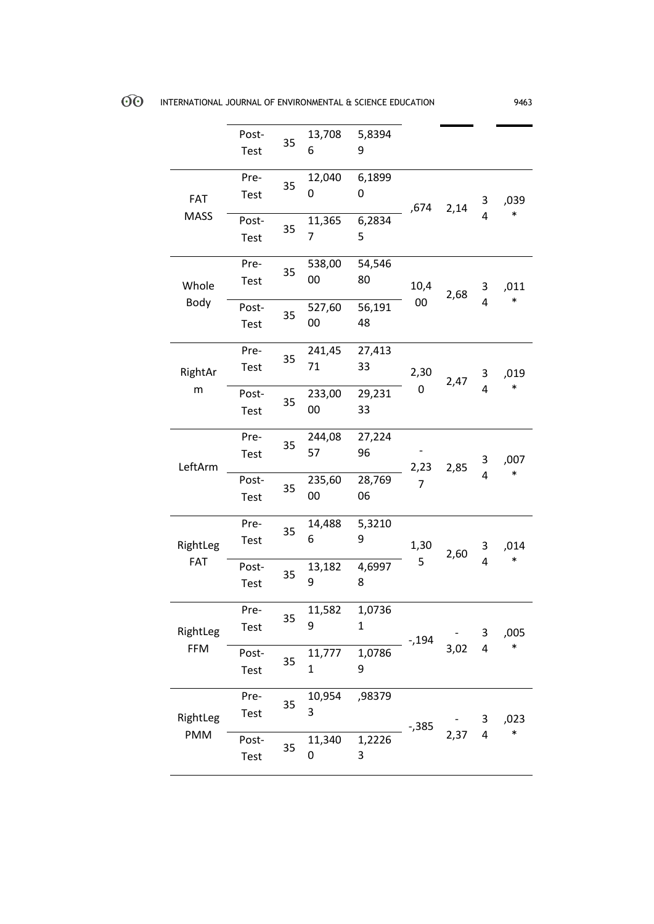|                        | Post-<br>Test        | 35 | 13,708<br>6      | 5,8394<br>9  |                |      |                |        |
|------------------------|----------------------|----|------------------|--------------|----------------|------|----------------|--------|
| <b>FAT</b>             | Pre-<br>Test         | 35 | 12,040<br>0      | 6,1899<br>0  | ,674           | 2,14 | 3              | ,039   |
| <b>MASS</b>            | Post-<br>Test        | 35 | 11,365<br>7      | 6,2834<br>5  |                |      | 4              | $\ast$ |
| Whole                  | Pre-<br>Test         | 35 | 538,00<br>00     | 54,546<br>80 | 10,4           | 2,68 | 3              | ,011   |
| Body                   | Post-<br>Test        | 35 | 527,60<br>00     | 56,191<br>48 | 00             |      | 4              | $\ast$ |
| RightAr                | Pre-<br>Test         | 35 | 241,45<br>71     | 27,413<br>33 | 2,30           | 2,47 | 3              | ,019   |
| m                      | Post-<br>Test        | 35 | 233,00<br>00     | 29,231<br>33 | 0              |      | 4              | $\ast$ |
| LeftArm                | Pre-<br><b>Test</b>  | 35 | 244,08<br>57     | 27,224<br>96 | 2,23           | 2,85 | 3              | ,007   |
|                        | Post-<br>Test        | 35 | 235,60<br>$00\,$ | 28,769<br>06 | $\overline{7}$ |      | $\overline{4}$ | $\ast$ |
| RightLeg               | Pre-<br>Test         | 35 | 14,488<br>6      | 5,3210<br>9  | 1,30           | 2,60 | 3              | ,014   |
| FAT                    | Post-<br><b>Test</b> | 35 | 13,182<br>9      | 4,6997<br>8  | 5              |      | 4              | $\ast$ |
| RightLeg               | Pre-<br><b>Test</b>  | 35 | 11,582<br>9      | 1,0736<br>1  | $-194$         |      | 3              | ,005   |
| <b>FFM</b>             | Post-<br>Test        | 35 | 11,777<br>1      | 1,0786<br>9  |                | 3,02 | 4              | $\ast$ |
| RightLeg<br><b>PMM</b> | Pre-<br>Test         | 35 | 10,954<br>3      | ,98379       | $-0.385$       |      | 3              | ,023   |
|                        | Post-<br>Test        | 35 | 11,340<br>0      | 1,2226<br>3  |                | 2,37 | 4              | $\ast$ |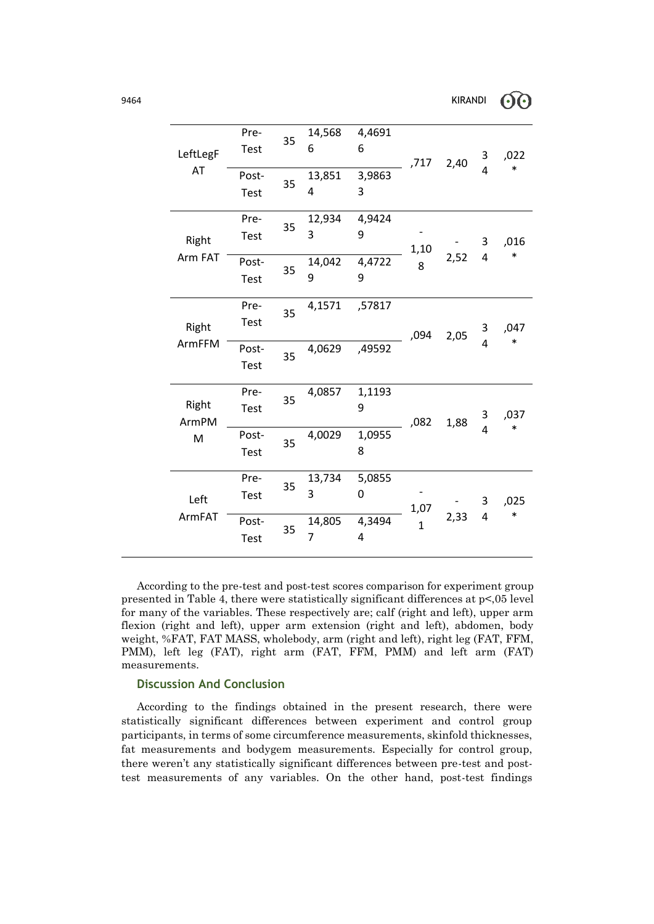| LeftLegF<br>AT      | Pre-<br><b>Test</b><br>Post-<br>Test | 35<br>35 | 14,568<br>6<br>13,851<br>4              | 4,4691<br>6<br>3,9863<br>3 | ,717                 | 2,40 | 3<br>4              | ,022<br>$\ast$ |
|---------------------|--------------------------------------|----------|-----------------------------------------|----------------------------|----------------------|------|---------------------|----------------|
| Right<br>Arm FAT    | Pre-<br>Test<br>Post-<br><b>Test</b> | 35<br>35 | 12,934<br>3<br>14,042<br>9              | 4,9424<br>9<br>4,4722<br>9 | 1,10<br>8            | 2,52 | 3<br>$\overline{4}$ | ,016<br>$\ast$ |
| Right<br>ArmFFM     | Pre-<br><b>Test</b><br>Post-<br>Test | 35<br>35 | 4,1571<br>4,0629                        | ,57817<br>,49592           | ,094                 | 2,05 | 3<br>4              | ,047<br>$\ast$ |
| Right<br>ArmPM<br>M | Pre-<br><b>Test</b><br>Post-<br>Test | 35<br>35 | 4,0857<br>4,0029                        | 1,1193<br>9<br>1,0955<br>8 | ,082                 | 1,88 | 3<br>4              | ,037<br>$\ast$ |
| Left<br>ArmFAT      | Pre-<br>Test<br>Post-<br><b>Test</b> | 35<br>35 | 13,734<br>3<br>14,805<br>$\overline{7}$ | 5,0855<br>0<br>4,3494<br>4 | 1,07<br>$\mathbf{1}$ | 2,33 | 3<br>4              | ,025<br>$\ast$ |

According to the pre-test and post-test scores comparison for experiment group presented in Table 4, there were statistically significant differences at p<,05 level for many of the variables. These respectively are; calf (right and left), upper arm flexion (right and left), upper arm extension (right and left), abdomen, body weight, %FAT, FAT MASS, wholebody, arm (right and left), right leg (FAT, FFM, PMM), left leg (FAT), right arm (FAT, FFM, PMM) and left arm (FAT) measurements.

## **Discussion And Conclusion**

According to the findings obtained in the present research, there were statistically significant differences between experiment and control group participants, in terms of some circumference measurements, skinfold thicknesses, fat measurements and bodygem measurements. Especially for control group, there weren't any statistically significant differences between pre-test and posttest measurements of any variables. On the other hand, post-test findings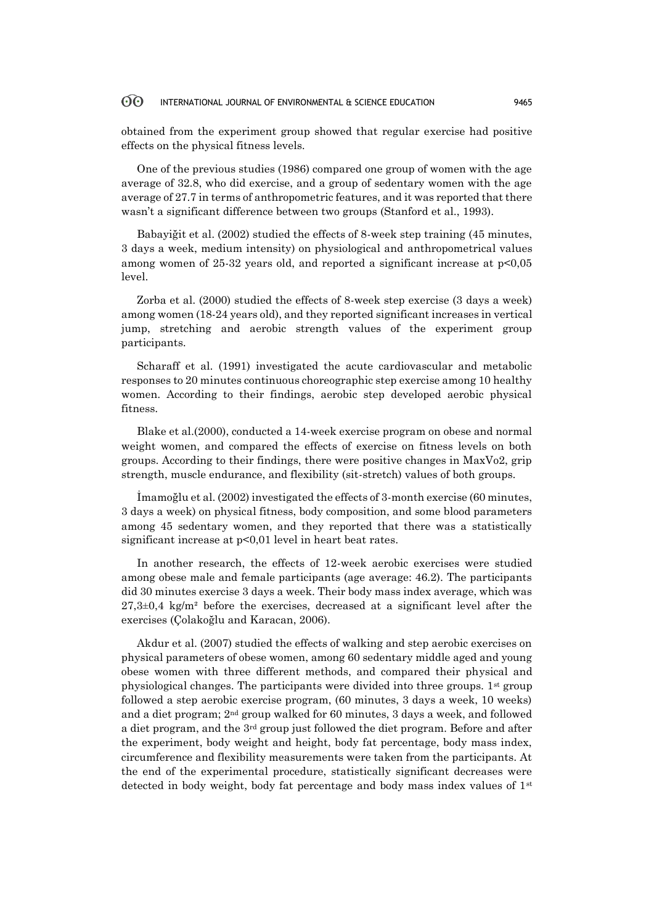obtained from the experiment group showed that regular exercise had positive effects on the physical fitness levels.

One of the previous studies (1986) compared one group of women with the age average of 32.8, who did exercise, and a group of sedentary women with the age average of 27.7 in terms of anthropometric features, and it was reported that there wasn't a significant difference between two groups (Stanford et al., 1993).

Babayiğit et al. (2002) studied the effects of 8-week step training (45 minutes, 3 days a week, medium intensity) on physiological and anthropometrical values among women of 25-32 years old, and reported a significant increase at p<0,05 level.

Zorba et al. (2000) studied the effects of 8-week step exercise (3 days a week) among women (18-24 years old), and they reported significant increases in vertical jump, stretching and aerobic strength values of the experiment group participants.

Scharaff et al. (1991) investigated the acute cardiovascular and metabolic responses to 20 minutes continuous choreographic step exercise among 10 healthy women. According to their findings, aerobic step developed aerobic physical fitness.

Blake et al.(2000), conducted a 14-week exercise program on obese and normal weight women, and compared the effects of exercise on fitness levels on both groups. According to their findings, there were positive changes in MaxVo2, grip strength, muscle endurance, and flexibility (sit-stretch) values of both groups.

İmamoğlu et al. (2002) investigated the effects of 3-month exercise (60 minutes, 3 days a week) on physical fitness, body composition, and some blood parameters among 45 sedentary women, and they reported that there was a statistically significant increase at  $p<0.01$  level in heart beat rates.

In another research, the effects of 12-week aerobic exercises were studied among obese male and female participants (age average: 46.2). The participants did 30 minutes exercise 3 days a week. Their body mass index average, which was  $27,3\pm0.4$  kg/m<sup>2</sup> before the exercises, decreased at a significant level after the exercises (Çolakoğlu and Karacan, 2006).

Akdur et al. (2007) studied the effects of walking and step aerobic exercises on physical parameters of obese women, among 60 sedentary middle aged and young obese women with three different methods, and compared their physical and physiological changes. The participants were divided into three groups.  $1<sup>st</sup>$  group followed a step aerobic exercise program, (60 minutes, 3 days a week, 10 weeks) and a diet program; 2nd group walked for 60 minutes, 3 days a week, and followed a diet program, and the  $3<sup>rd</sup>$  group just followed the diet program. Before and after the experiment, body weight and height, body fat percentage, body mass index, circumference and flexibility measurements were taken from the participants. At the end of the experimental procedure, statistically significant decreases were detected in body weight, body fat percentage and body mass index values of  $1<sup>st</sup>$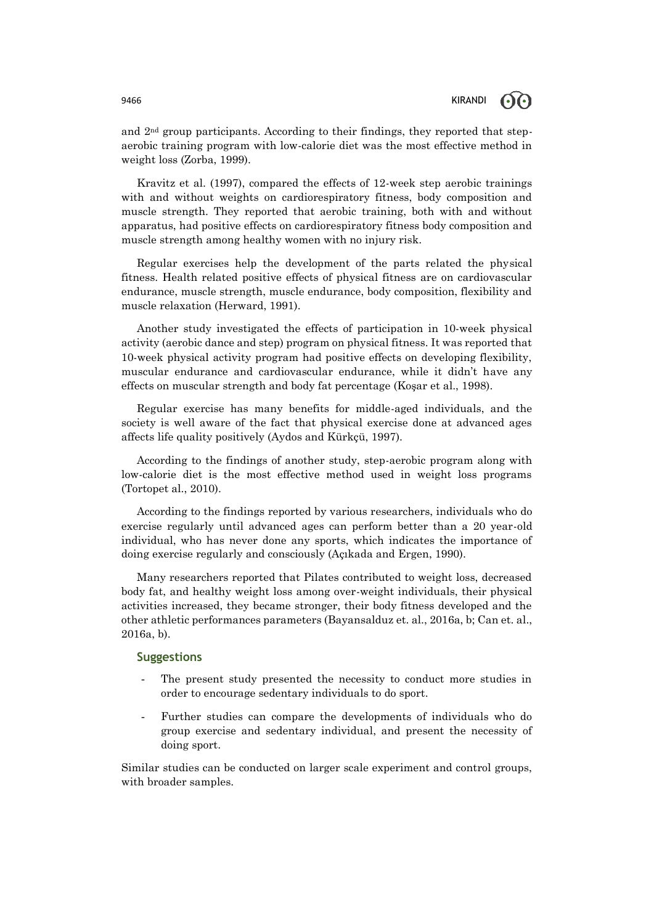and  $2<sup>nd</sup>$  group participants. According to their findings, they reported that stepaerobic training program with low-calorie diet was the most effective method in weight loss (Zorba, 1999).

Kravitz et al. (1997), compared the effects of 12-week step aerobic trainings with and without weights on cardiorespiratory fitness, body composition and muscle strength. They reported that aerobic training, both with and without apparatus, had positive effects on cardiorespiratory fitness body composition and muscle strength among healthy women with no injury risk.

Regular exercises help the development of the parts related the physical fitness. Health related positive effects of physical fitness are on cardiovascular endurance, muscle strength, muscle endurance, body composition, flexibility and muscle relaxation (Herward, 1991).

Another study investigated the effects of participation in 10-week physical activity (aerobic dance and step) program on physical fitness. It was reported that 10-week physical activity program had positive effects on developing flexibility, muscular endurance and cardiovascular endurance, while it didn't have any effects on muscular strength and body fat percentage (Koşar et al., 1998).

Regular exercise has many benefits for middle-aged individuals, and the society is well aware of the fact that physical exercise done at advanced ages affects life quality positively (Aydos and Kürkçü, 1997).

According to the findings of another study, step-aerobic program along with low-calorie diet is the most effective method used in weight loss programs (Tortopet al., 2010).

According to the findings reported by various researchers, individuals who do exercise regularly until advanced ages can perform better than a 20 year-old individual, who has never done any sports, which indicates the importance of doing exercise regularly and consciously (Açıkada and Ergen, 1990).

Many researchers reported that Pilates contributed to weight loss, decreased body fat, and healthy weight loss among over-weight individuals, their physical activities increased, they became stronger, their body fitness developed and the other athletic performances parameters (Bayansalduz et. al., 2016a, b; Can et. al., 2016a, b).

### **Suggestions**

- The present study presented the necessity to conduct more studies in order to encourage sedentary individuals to do sport.
- Further studies can compare the developments of individuals who do group exercise and sedentary individual, and present the necessity of doing sport.

Similar studies can be conducted on larger scale experiment and control groups, with broader samples.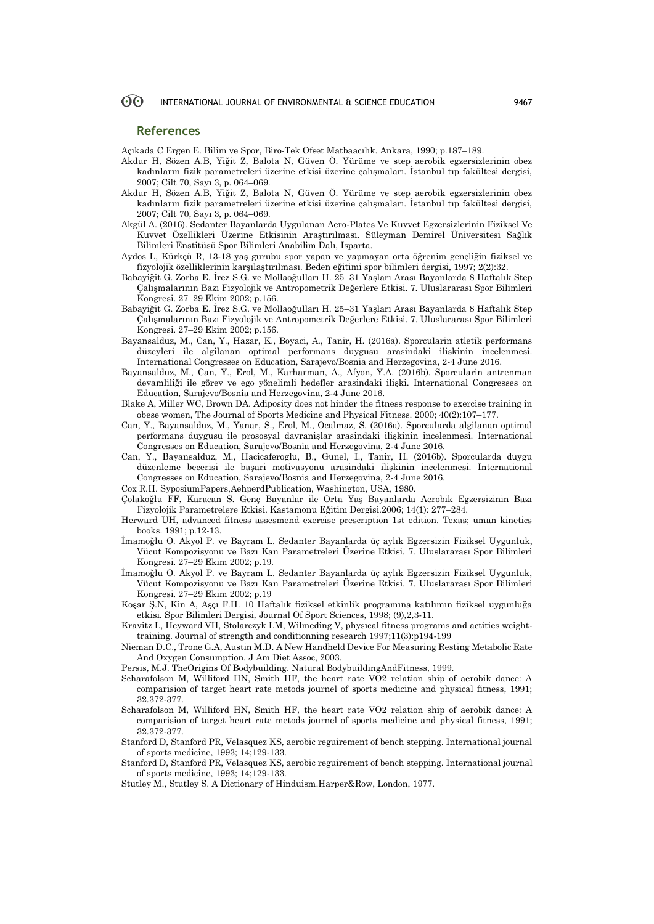### **References**

Açıkada C Ergen E. Bilim ve Spor, Biro-Tek Ofset Matbaacılık. Ankara, 1990; p.187–189.

- Akdur H, Sözen A.B, Yiğit Z, Balota N, Güven Ö. Yürüme ve step aerobik egzersizlerinin obez kadınların fizik parametreleri üzerine etkisi üzerine çalışmaları. İstanbul tıp fakültesi dergisi, 2007; Cilt 70, Sayı 3, p. 064–069.
- Akdur H, Sözen A.B, Yiğit Z, Balota N, Güven Ö. Yürüme ve step aerobik egzersizlerinin obez kadınların fizik parametreleri üzerine etkisi üzerine çalışmaları. İstanbul tıp fakültesi dergisi, 2007; Cilt 70, Sayı 3, p. 064–069.
- Akgül A. (2016). Sedanter Bayanlarda Uygulanan Aero-Plates Ve Kuvvet Egzersizlerinin Fiziksel Ve Kuvvet Özellikleri Üzerine Etkisinin Araştırılması. Süleyman Demirel Üniversitesi Sağlık Bilimleri Enstitüsü Spor Bilimleri Anabilim Dalı, Isparta.
- Aydos L, Kürkçü R, 13-18 yaş gurubu spor yapan ve yapmayan orta öğrenim gençliğin fiziksel ve fizyolojik özelliklerinin karşılaştırılması. Beden eğitimi spor bilimleri dergisi, 1997; 2(2):32.
- Babayiğit G. Zorba E. İrez S.G. ve Mollaoğulları H. 25–31 Yaşları Arası Bayanlarda 8 Haftalık Step Çalışmalarının Bazı Fizyolojik ve Antropometrik Değerlere Etkisi. 7. Uluslararası Spor Bilimleri Kongresi. 27–29 Ekim 2002; p.156.
- Babayiğit G. Zorba E. İrez S.G. ve Mollaoğulları H. 25–31 Yaşları Arası Bayanlarda 8 Haftalık Step Çalışmalarının Bazı Fizyolojik ve Antropometrik Değerlere Etkisi. 7. Uluslararası Spor Bilimleri Kongresi. 27–29 Ekim 2002; p.156.
- Bayansalduz, M., Can, Y., Hazar, K., Boyaci, A., Tanir, H. (2016a). Sporcularin atletik performans düzeyleri ile algilanan optimal performans duygusu arasindaki iliskinin incelenmesi. International Congresses on Education, Sarajevo/Bosnia and Herzegovina, 2-4 June 2016.
- Bayansalduz, M., Can, Y., Erol, M., Karharman, A., Afyon, Y.A. (2016b). Sporcularin antrenman devamliliği ile görev ve ego yönelimli hedefler arasindaki ilişki. International Congresses on Education, Sarajevo/Bosnia and Herzegovina, 2-4 June 2016.
- Blake A, Miller WC, Brown DA. Adiposity does not hinder the fitness response to exercise training in obese women, The Journal of Sports Medicine and Physical Fitness. 2000; 40(2):107–177.
- Can, Y., Bayansalduz, M., Yanar, S., Erol, M., Ocalmaz, S. (2016a). Sporcularda algilanan optimal performans duygusu ile prososyal davranişlar arasindaki ilişkinin incelenmesi. International Congresses on Education, Sarajevo/Bosnia and Herzegovina, 2-4 June 2016.
- Can, Y., Bayansalduz, M., Hacicaferoglu, B., Gunel, I., Tanir, H. (2016b). Sporcularda duygu düzenleme becerisi ile başari motivasyonu arasindaki ilişkinin incelenmesi. International Congresses on Education, Sarajevo/Bosnia and Herzegovina, 2-4 June 2016.
- Cox R.H. SyposiumPapers,AehperdPublication, Washington, USA, 1980.
- Çolakoğlu FF, Karacan S. Genç Bayanlar ile Orta Yaş Bayanlarda Aerobik Egzersizinin Bazı Fizyolojik Parametrelere Etkisi. Kastamonu Eğitim Dergisi.2006; 14(1): 277–284.
- Herward UH, advanced fitness assesmend exercise prescription 1st edition. Texas; uman kinetics books. 1991; p.12-13.
- İmamoğlu O. Akyol P. ve Bayram L. Sedanter Bayanlarda üç aylık Egzersizin Fiziksel Uygunluk, Vücut Kompozisyonu ve Bazı Kan Parametreleri Üzerine Etkisi. 7. Uluslararası Spor Bilimleri Kongresi. 27–29 Ekim 2002; p.19.
- İmamoğlu O. Akyol P. ve Bayram L. Sedanter Bayanlarda üç aylık Egzersizin Fiziksel Uygunluk, Vücut Kompozisyonu ve Bazı Kan Parametreleri Üzerine Etkisi. 7. Uluslararası Spor Bilimleri Kongresi. 27–29 Ekim 2002; p.19
- Koşar Ş.N, Kin A, Aşçı F.H. 10 Haftalık fiziksel etkinlik programına katılımın fiziksel uygunluğa etkisi. Spor Bilimleri Dergisi, Journal Of Sport Sciences, 1998; (9),2,3-11.
- Kravitz L, Heyward VH, Stolarczyk LM, Wilmeding V, physıcal fitness programs and actities weighttraining. Journal of strength and conditionning research 1997;11(3):p194-199
- Nieman D.C., Trone G.A, Austin M.D. A New Handheld Device For Measuring Resting Metabolic Rate And Oxygen Consumption. J Am Diet Assoc, 2003.
- Persis, M.J. TheOrigins Of Bodybuilding. Natural BodybuildingAndFitness, 1999.
- Scharafolson M, Williford HN, Smith HF, the heart rate VO2 relation ship of aerobik dance: A comparision of target heart rate metods journel of sports medicine and physical fitness, 1991; 32.372-377.
- Scharafolson M, Williford HN, Smith HF, the heart rate VO2 relation ship of aerobik dance: A comparision of target heart rate metods journel of sports medicine and physical fitness, 1991; 32.372-377.
- Stanford D, Stanford PR, Velasquez KS, aerobic reguirement of bench stepping. İnternational journal of sports medicine, 1993; 14;129-133.
- Stanford D, Stanford PR, Velasquez KS, aerobic reguirement of bench stepping. İnternational journal of sports medicine, 1993; 14;129-133.
- Stutley M., Stutley S. A Dictionary of Hinduism.Harper&Row, London, 1977.